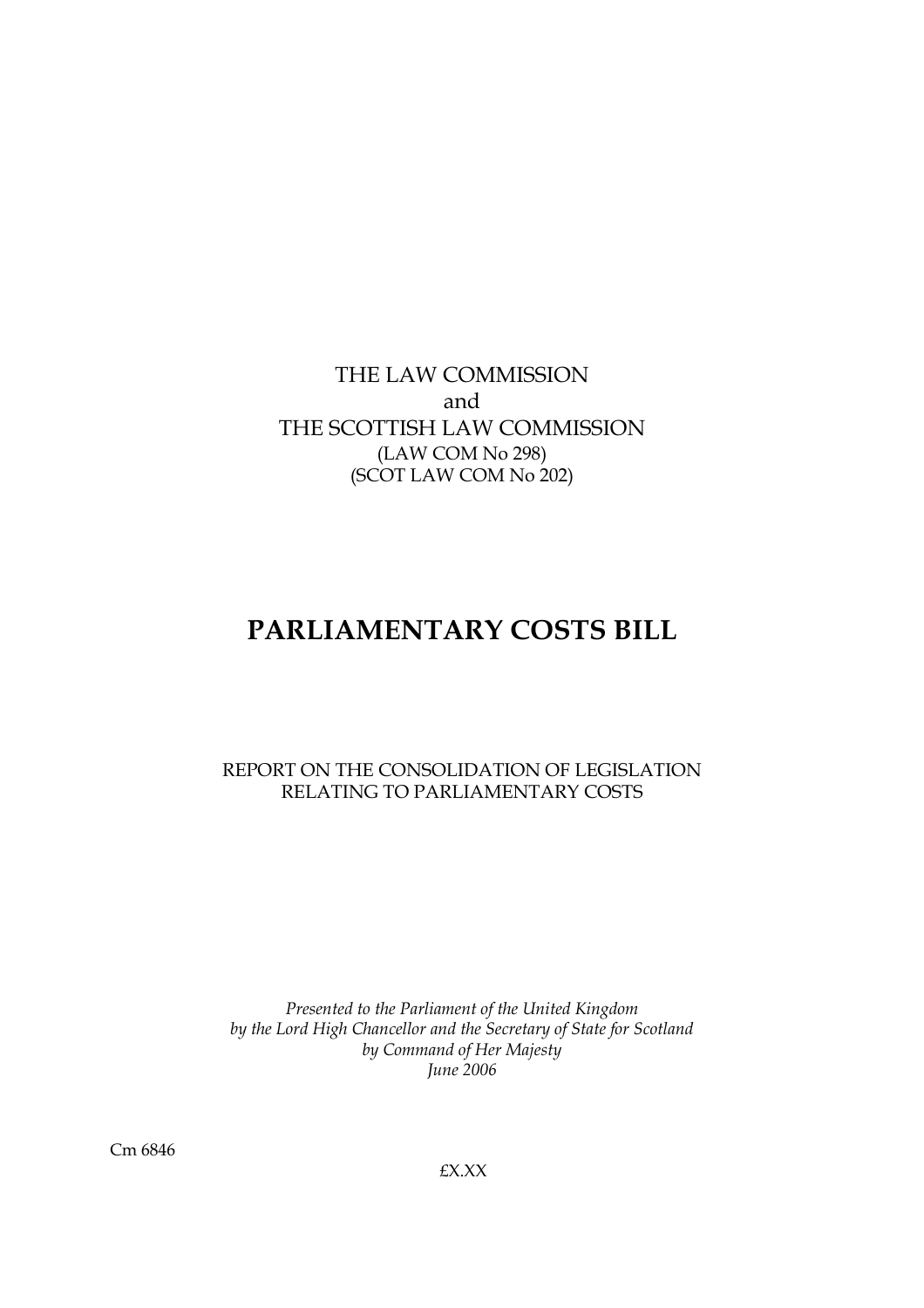THE LAW COMMISSION and THE SCOTTISH LAW COMMISSION (LAW COM No 298) (SCOT LAW COM No 202)

# **PARLIAMENTARY COSTS BILL**

REPORT ON THE CONSOLIDATION OF LEGISLATION RELATING TO PARLIAMENTARY COSTS

*Presented to the Parliament of the United Kingdom by the Lord High Chancellor and the Secretary of State for Scotland by Command of Her Majesty June 2006*

£X.XX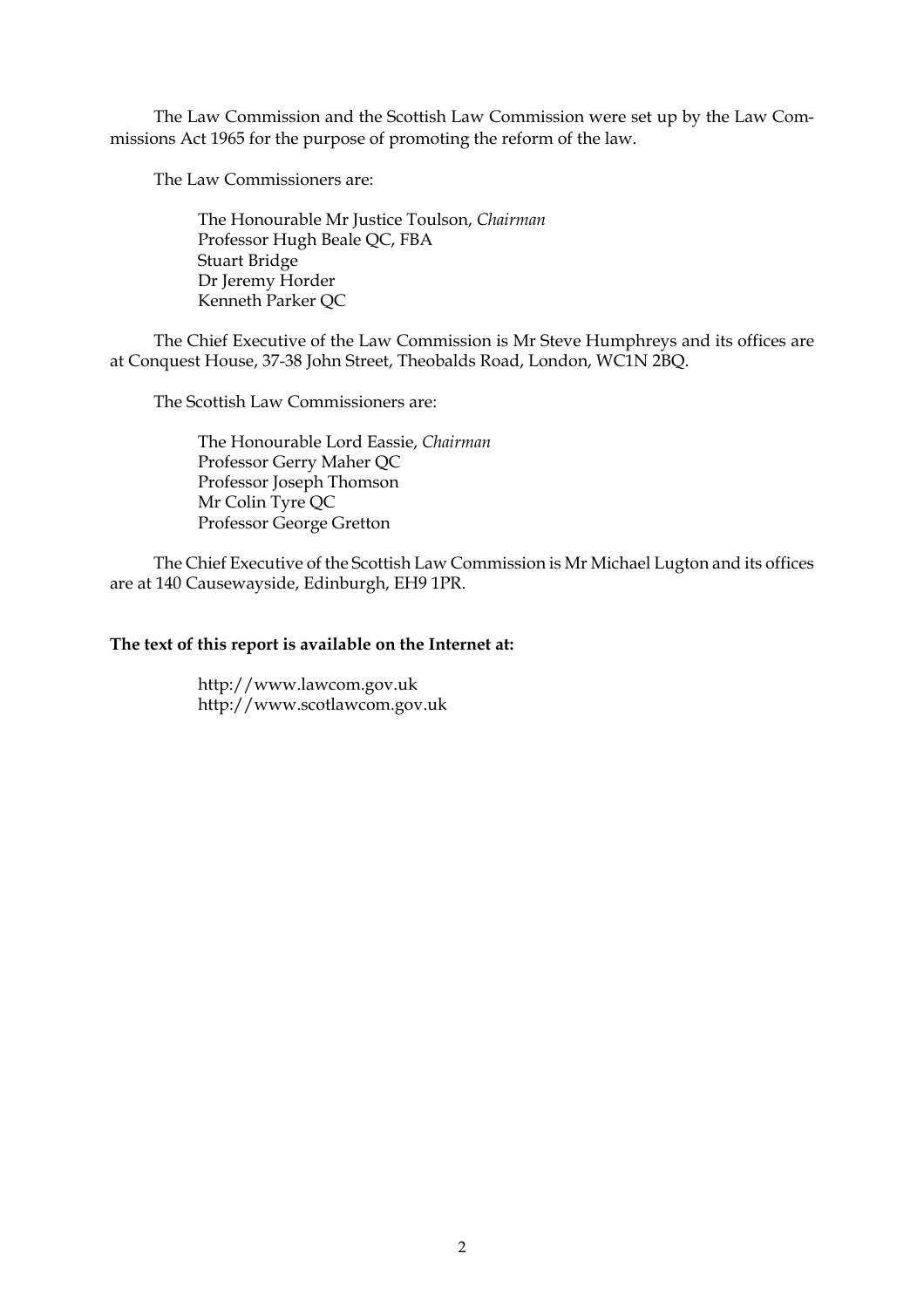The Law Commission and the Scottish Law Commission were set up by the Law Commissions Act 1965 for the purpose of promoting the reform of the law.

The Law Commissioners are:

The Honourable Mr Justice Toulson, *Chairman* Professor Hugh Beale QC, FBA Stuart Bridge Dr Jeremy Horder Kenneth Parker QC

The Chief Executive of the Law Commission is Mr Steve Humphreys and its offices are at Conquest House, 37-38 John Street, Theobalds Road, London, WC1N 2BQ.

The Scottish Law Commissioners are:

The Honourable Lord Eassie, *Chairman* Professor Gerry Maher QC Professor Joseph Thomson Mr Colin Tyre QC Professor George Gretton

The Chief Executive of the Scottish Law Commission is Mr Michael Lugton and its offices are at 140 Causewayside, Edinburgh, EH9 1PR.

## **The text of this report is available on the Internet at:**

http://www.lawcom.gov.uk http://www.scotlawcom.gov.uk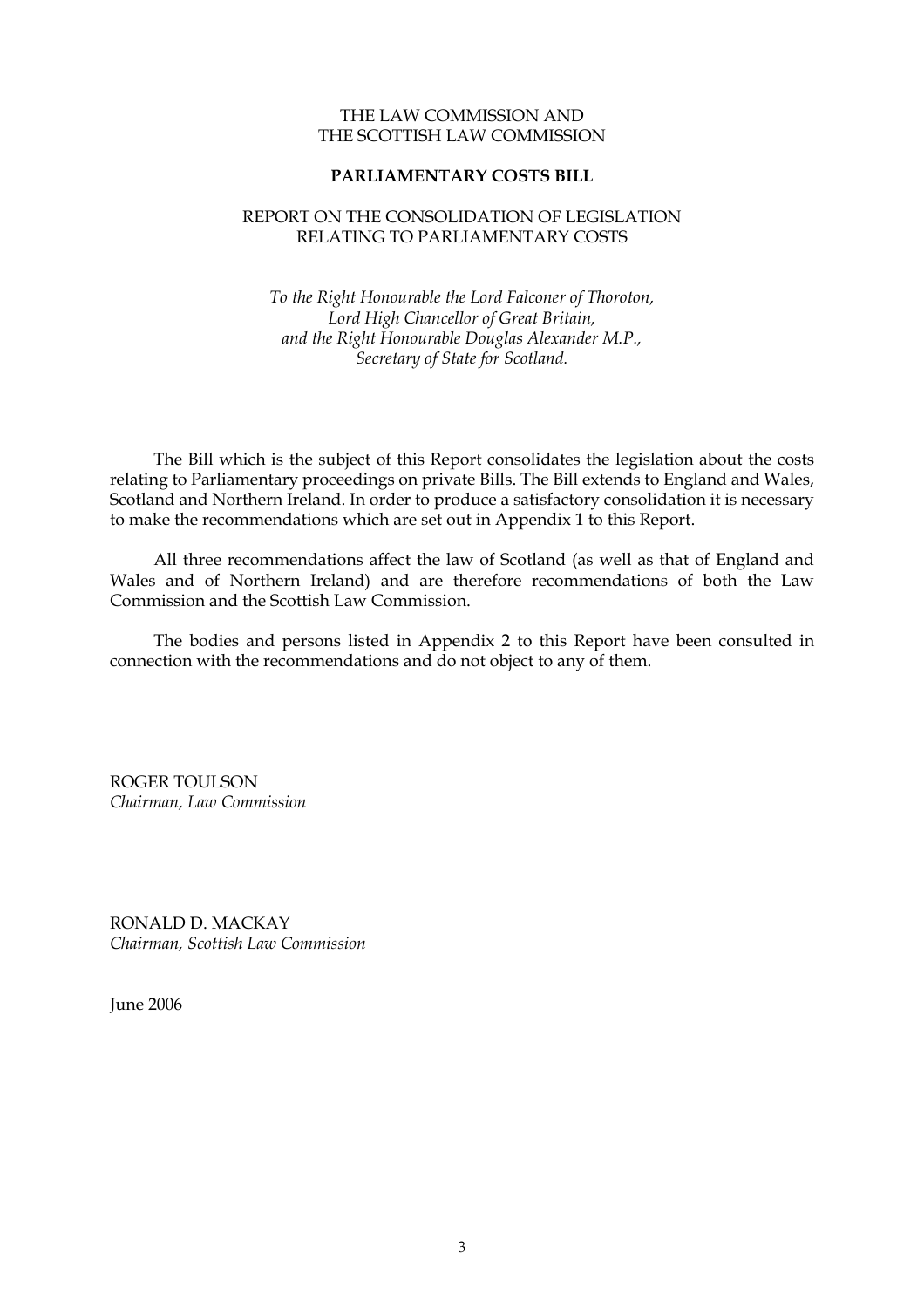## THE LAW COMMISSION AND THE SCOTTISH LAW COMMISSION

# **PARLIAMENTARY COSTS BILL**

## REPORT ON THE CONSOLIDATION OF LEGISLATION RELATING TO PARLIAMENTARY COSTS

# *To the Right Honourable the Lord Falconer of Thoroton, Lord High Chancellor of Great Britain, and the Right Honourable Douglas Alexander M.P., Secretary of State for Scotland.*

The Bill which is the subject of this Report consolidates the legislation about the costs relating to Parliamentary proceedings on private Bills. The Bill extends to England and Wales, Scotland and Northern Ireland. In order to produce a satisfactory consolidation it is necessary to make the recommendations which are set out in Appendix 1 to this Report.

All three recommendations affect the law of Scotland (as well as that of England and Wales and of Northern Ireland) and are therefore recommendations of both the Law Commission and the Scottish Law Commission.

The bodies and persons listed in Appendix 2 to this Report have been consulted in connection with the recommendations and do not object to any of them.

ROGER TOULSON *Chairman, Law Commission*

RONALD D. MACKAY *Chairman, Scottish Law Commission*

June 2006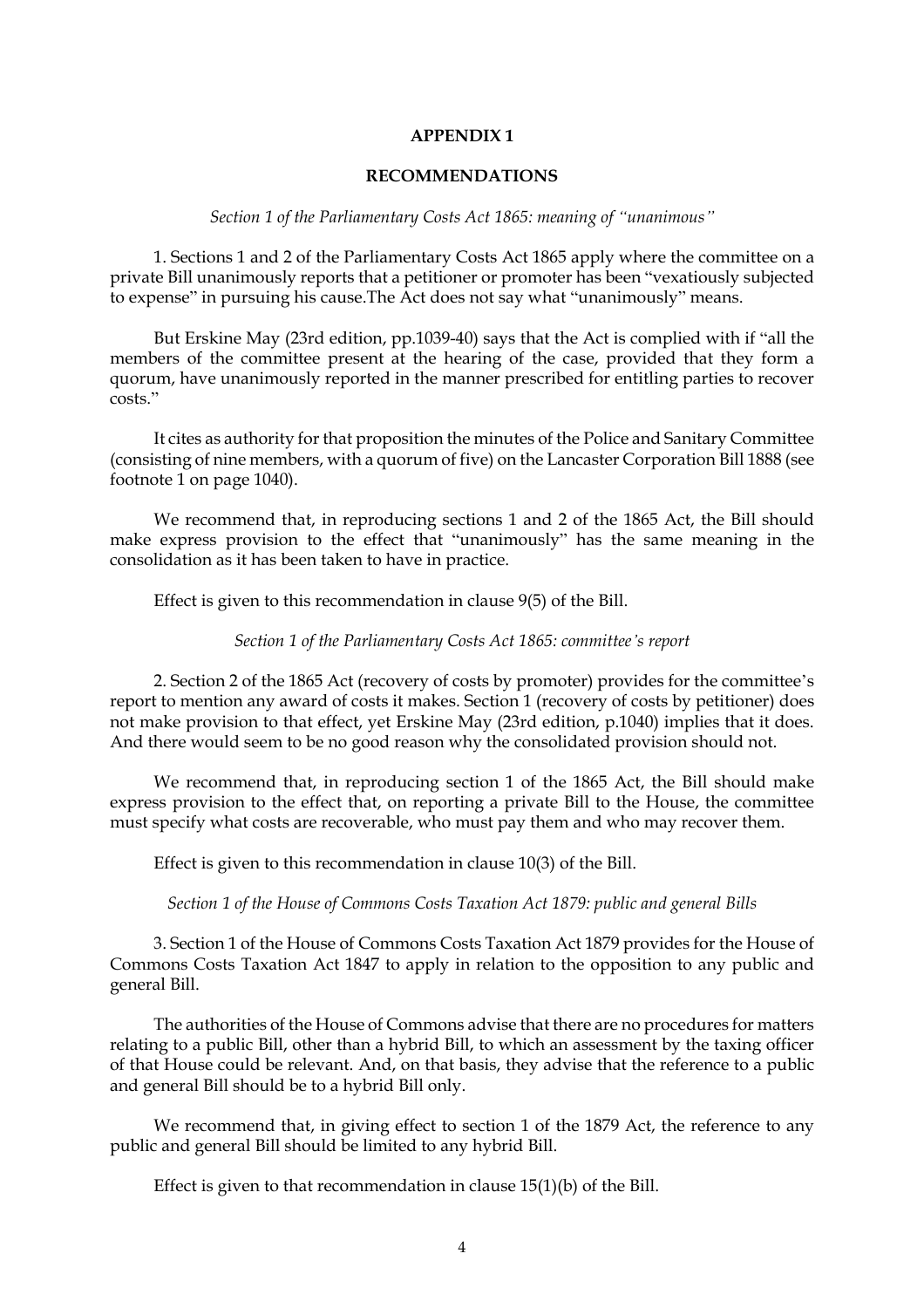## **APPENDIX 1**

#### **RECOMMENDATIONS**

#### *Section 1 of the Parliamentary Costs Act 1865: meaning of "unanimous"*

1. Sections 1 and 2 of the Parliamentary Costs Act 1865 apply where the committee on a private Bill unanimously reports that a petitioner or promoter has been "vexatiously subjected to expense" in pursuing his cause.The Act does not say what "unanimously" means.

But Erskine May (23rd edition, pp.1039-40) says that the Act is complied with if "all the members of the committee present at the hearing of the case, provided that they form a quorum, have unanimously reported in the manner prescribed for entitling parties to recover costs."

It cites as authority for that proposition the minutes of the Police and Sanitary Committee (consisting of nine members, with a quorum of five) on the Lancaster Corporation Bill 1888 (see footnote 1 on page 1040).

We recommend that, in reproducing sections 1 and 2 of the 1865 Act, the Bill should make express provision to the effect that "unanimously" has the same meaning in the consolidation as it has been taken to have in practice.

Effect is given to this recommendation in clause 9(5) of the Bill.

*Section 1 of the Parliamentary Costs Act 1865: committee's report*

2. Section 2 of the 1865 Act (recovery of costs by promoter) provides for the committee's report to mention any award of costs it makes. Section 1 (recovery of costs by petitioner) does not make provision to that effect, yet Erskine May (23rd edition, p.1040) implies that it does. And there would seem to be no good reason why the consolidated provision should not.

We recommend that, in reproducing section 1 of the 1865 Act, the Bill should make express provision to the effect that, on reporting a private Bill to the House, the committee must specify what costs are recoverable, who must pay them and who may recover them.

Effect is given to this recommendation in clause 10(3) of the Bill.

*Section 1 of the House of Commons Costs Taxation Act 1879: public and general Bills*

3. Section 1 of the House of Commons Costs Taxation Act 1879 provides for the House of Commons Costs Taxation Act 1847 to apply in relation to the opposition to any public and general Bill.

The authorities of the House of Commons advise that there are no procedures for matters relating to a public Bill, other than a hybrid Bill, to which an assessment by the taxing officer of that House could be relevant. And, on that basis, they advise that the reference to a public and general Bill should be to a hybrid Bill only.

We recommend that, in giving effect to section 1 of the 1879 Act, the reference to any public and general Bill should be limited to any hybrid Bill.

Effect is given to that recommendation in clause 15(1)(b) of the Bill.